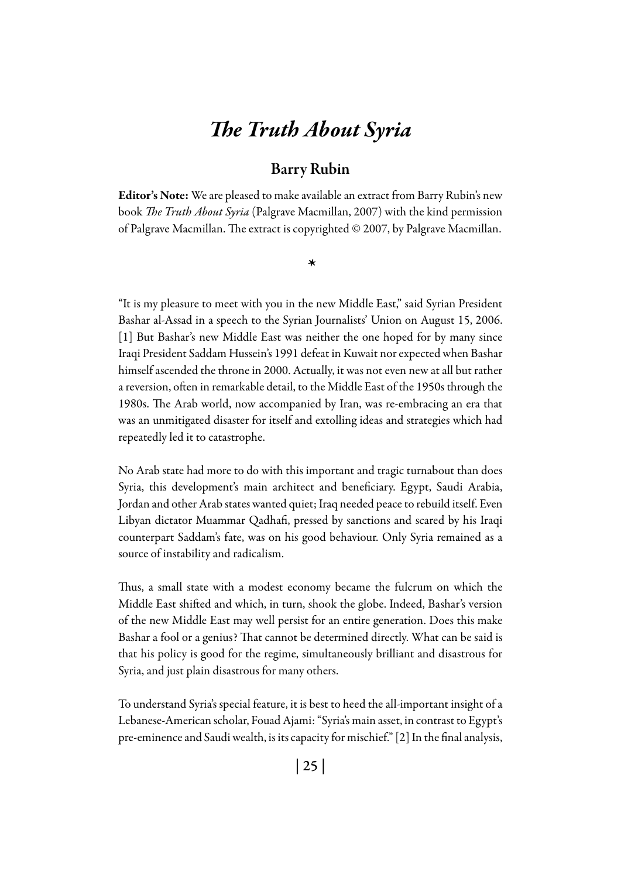# *The Truth About Syria*

## Barry Rubin

Editor's Note: We are pleased to make available an extract from Barry Rubin's new book *The Truth About Syria* (Palgrave Macmillan, 2007) with the kind permission of Palgrave Macmillan. The extract is copyrighted © 2007, by Palgrave Macmillan.

#### *\**

"It is my pleasure to meet with you in the new Middle East," said Syrian President Bashar al-Assad in a speech to the Syrian Journalists' Union on August 15, 2006. [1] But Bashar's new Middle East was neither the one hoped for by many since Iraqi President Saddam Hussein's 1991 defeat in Kuwait nor expected when Bashar himself ascended the throne in 2000. Actually, it was not even new at all but rather a reversion, often in remarkable detail, to the Middle East of the 1950s through the 1980s. The Arab world, now accompanied by Iran, was re-embracing an era that was an unmitigated disaster for itself and extolling ideas and strategies which had repeatedly led it to catastrophe.

No Arab state had more to do with this important and tragic turnabout than does Syria, this development's main architect and beneficiary. Egypt, Saudi Arabia, Jordan and other Arab states wanted quiet; Iraq needed peace to rebuild itself. Even Libyan dictator Muammar Qadhafi, pressed by sanctions and scared by his Iraqi counterpart Saddam's fate, was on his good behaviour. Only Syria remained as a source of instability and radicalism.

Thus, a small state with a modest economy became the fulcrum on which the Middle East shifted and which, in turn, shook the globe. Indeed, Bashar's version of the new Middle East may well persist for an entire generation. Does this make Bashar a fool or a genius? That cannot be determined directly. What can be said is that his policy is good for the regime, simultaneously brilliant and disastrous for Syria, and just plain disastrous for many others.

To understand Syria's special feature, it is best to heed the all-important insight of a Lebanese-American scholar, Fouad Ajami: "Syria's main asset, in contrast to Egypt's pre-eminence and Saudi wealth, is its capacity for mischief." [2] In the final analysis,

| 25 |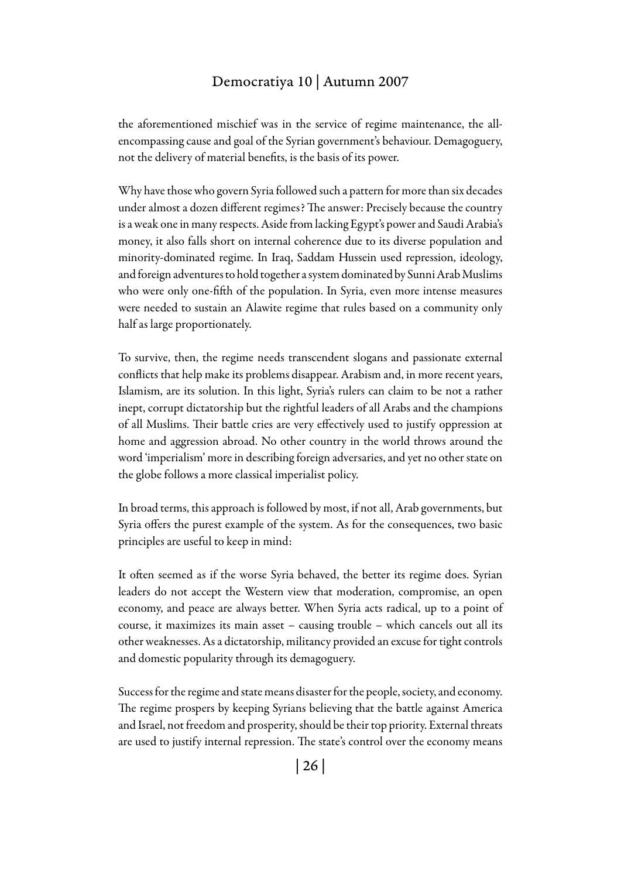the aforementioned mischief was in the service of regime maintenance, the allencompassing cause and goal of the Syrian government's behaviour. Demagoguery, not the delivery of material benefits, is the basis of its power.

Why have those who govern Syria followed such a pattern for more than six decades under almost a dozen different regimes? The answer: Precisely because the country is a weak one in many respects. Aside from lacking Egypt's power and Saudi Arabia's money, it also falls short on internal coherence due to its diverse population and minority-dominated regime. In Iraq, Saddam Hussein used repression, ideology, and foreign adventures to hold together a system dominated by Sunni Arab Muslims who were only one-fifth of the population. In Syria, even more intense measures were needed to sustain an Alawite regime that rules based on a community only half as large proportionately.

To survive, then, the regime needs transcendent slogans and passionate external conflicts that help make its problems disappear. Arabism and, in more recent years, Islamism, are its solution. In this light, Syria's rulers can claim to be not a rather inept, corrupt dictatorship but the rightful leaders of all Arabs and the champions of all Muslims. Their battle cries are very effectively used to justify oppression at home and aggression abroad. No other country in the world throws around the word 'imperialism' more in describing foreign adversaries, and yet no other state on the globe follows a more classical imperialist policy.

In broad terms, this approach is followed by most, if not all, Arab governments, but Syria offers the purest example of the system. As for the consequences, two basic principles are useful to keep in mind:

It often seemed as if the worse Syria behaved, the better its regime does. Syrian leaders do not accept the Western view that moderation, compromise, an open economy, and peace are always better. When Syria acts radical, up to a point of course, it maximizes its main asset – causing trouble – which cancels out all its other weaknesses. As a dictatorship, militancy provided an excuse for tight controls and domestic popularity through its demagoguery.

Success for the regime and state means disaster for the people, society, and economy. The regime prospers by keeping Syrians believing that the battle against America and Israel, not freedom and prosperity, should be their top priority. External threats are used to justify internal repression. The state's control over the economy means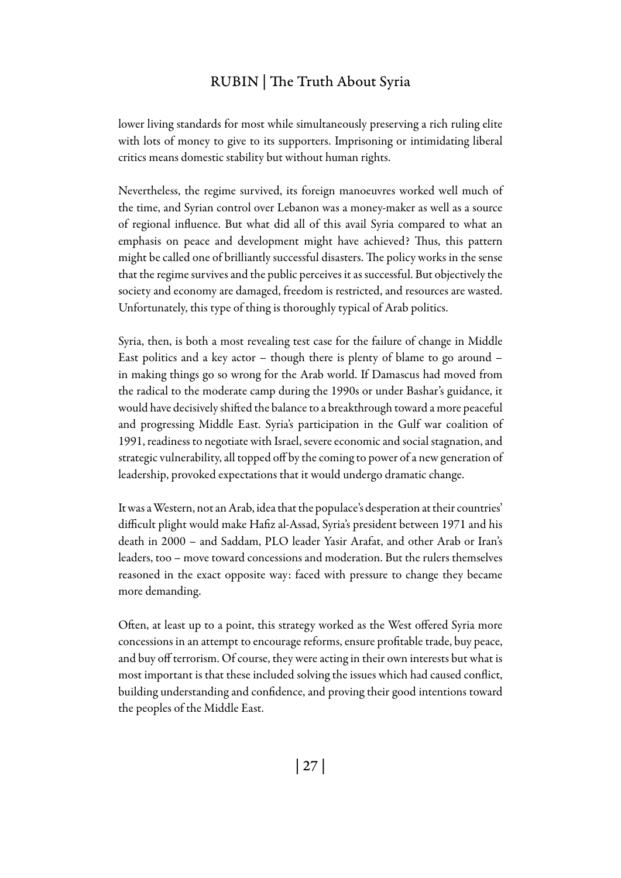lower living standards for most while simultaneously preserving a rich ruling elite with lots of money to give to its supporters. Imprisoning or intimidating liberal critics means domestic stability but without human rights.

Nevertheless, the regime survived, its foreign manoeuvres worked well much of the time, and Syrian control over Lebanon was a money-maker as well as a source of regional influence. But what did all of this avail Syria compared to what an emphasis on peace and development might have achieved? Thus, this pattern might be called one of brilliantly successful disasters. The policy works in the sense that the regime survives and the public perceives it as successful. But objectively the society and economy are damaged, freedom is restricted, and resources are wasted. Unfortunately, this type of thing is thoroughly typical of Arab politics.

Syria, then, is both a most revealing test case for the failure of change in Middle East politics and a key actor – though there is plenty of blame to go around – in making things go so wrong for the Arab world. If Damascus had moved from the radical to the moderate camp during the 1990s or under Bashar's guidance, it would have decisively shifted the balance to a breakthrough toward a more peaceful and progressing Middle East. Syria's participation in the Gulf war coalition of 1991, readiness to negotiate with Israel, severe economic and social stagnation, and strategic vulnerability, all topped off by the coming to power of a new generation of leadership, provoked expectations that it would undergo dramatic change.

It was a Western, not an Arab, idea that the populace's desperation at their countries' difficult plight would make Hafiz al-Assad, Syria's president between 1971 and his death in 2000 – and Saddam, PLO leader Yasir Arafat, and other Arab or Iran's leaders, too – move toward concessions and moderation. But the rulers themselves reasoned in the exact opposite way: faced with pressure to change they became more demanding.

Often, at least up to a point, this strategy worked as the West offered Syria more concessions in an attempt to encourage reforms, ensure profitable trade, buy peace, and buy off terrorism. Of course, they were acting in their own interests but what is most important is that these included solving the issues which had caused conflict, building understanding and confidence, and proving their good intentions toward the peoples of the Middle East.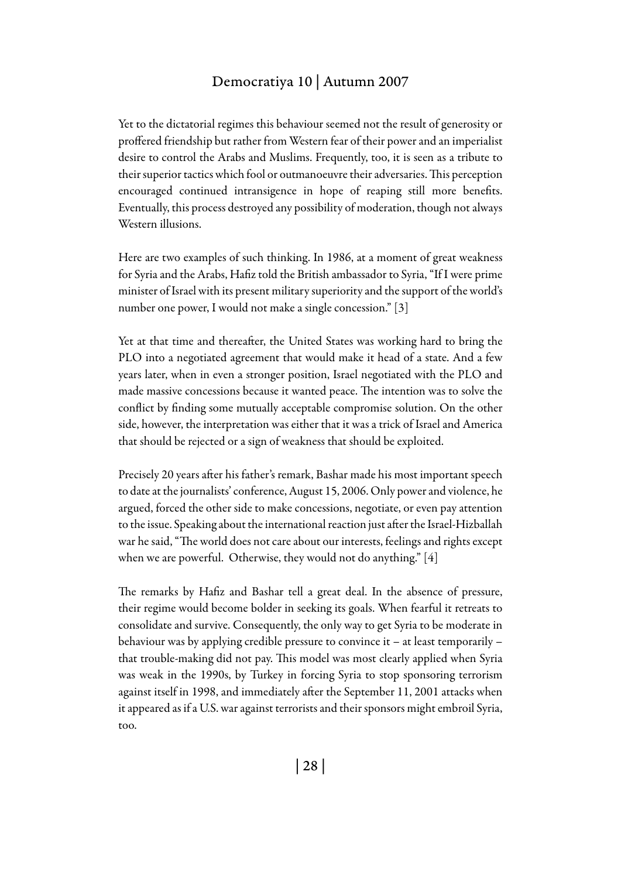Yet to the dictatorial regimes this behaviour seemed not the result of generosity or proffered friendship but rather from Western fear of their power and an imperialist desire to control the Arabs and Muslims. Frequently, too, it is seen as a tribute to their superior tactics which fool or outmanoeuvre their adversaries. This perception encouraged continued intransigence in hope of reaping still more benefits. Eventually, this process destroyed any possibility of moderation, though not always Western illusions.

Here are two examples of such thinking. In 1986, at a moment of great weakness for Syria and the Arabs, Hafiz told the British ambassador to Syria, "If I were prime minister of Israel with its present military superiority and the support of the world's number one power, I would not make a single concession." [3]

Yet at that time and thereafter, the United States was working hard to bring the PLO into a negotiated agreement that would make it head of a state. And a few years later, when in even a stronger position, Israel negotiated with the PLO and made massive concessions because it wanted peace. The intention was to solve the conflict by finding some mutually acceptable compromise solution. On the other side, however, the interpretation was either that it was a trick of Israel and America that should be rejected or a sign of weakness that should be exploited.

Precisely 20 years after his father's remark, Bashar made his most important speech to date at the journalists' conference, August 15, 2006. Only power and violence, he argued, forced the other side to make concessions, negotiate, or even pay attention to the issue. Speaking about the international reaction just after the Israel-Hizballah war he said, "The world does not care about our interests, feelings and rights except when we are powerful. Otherwise, they would not do anything." [4]

The remarks by Hafiz and Bashar tell a great deal. In the absence of pressure, their regime would become bolder in seeking its goals. When fearful it retreats to consolidate and survive. Consequently, the only way to get Syria to be moderate in behaviour was by applying credible pressure to convince it – at least temporarily – that trouble-making did not pay. This model was most clearly applied when Syria was weak in the 1990s, by Turkey in forcing Syria to stop sponsoring terrorism against itself in 1998, and immediately after the September 11, 2001 attacks when it appeared as if a U.S. war against terrorists and their sponsors might embroil Syria, too.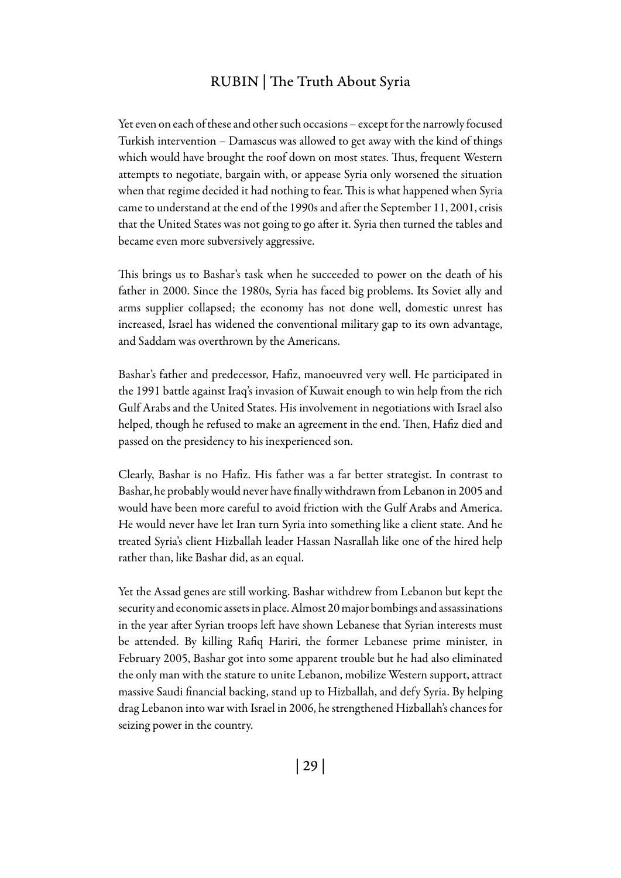Yet even on each of these and other such occasions – except for the narrowly focused Turkish intervention – Damascus was allowed to get away with the kind of things which would have brought the roof down on most states. Thus, frequent Western attempts to negotiate, bargain with, or appease Syria only worsened the situation when that regime decided it had nothing to fear. This is what happened when Syria came to understand at the end of the 1990s and after the September 11, 2001, crisis that the United States was not going to go after it. Syria then turned the tables and became even more subversively aggressive.

This brings us to Bashar's task when he succeeded to power on the death of his father in 2000. Since the 1980s, Syria has faced big problems. Its Soviet ally and arms supplier collapsed; the economy has not done well, domestic unrest has increased, Israel has widened the conventional military gap to its own advantage, and Saddam was overthrown by the Americans.

Bashar's father and predecessor, Hafiz, manoeuvred very well. He participated in the 1991 battle against Iraq's invasion of Kuwait enough to win help from the rich Gulf Arabs and the United States. His involvement in negotiations with Israel also helped, though he refused to make an agreement in the end. Then, Hafiz died and passed on the presidency to his inexperienced son.

Clearly, Bashar is no Hafiz. His father was a far better strategist. In contrast to Bashar, he probably would never have finally withdrawn from Lebanon in 2005 and would have been more careful to avoid friction with the Gulf Arabs and America. He would never have let Iran turn Syria into something like a client state. And he treated Syria's client Hizballah leader Hassan Nasrallah like one of the hired help rather than, like Bashar did, as an equal.

Yet the Assad genes are still working. Bashar withdrew from Lebanon but kept the security and economic assets in place. Almost 20 major bombings and assassinations in the year after Syrian troops left have shown Lebanese that Syrian interests must be attended. By killing Rafiq Hariri, the former Lebanese prime minister, in February 2005, Bashar got into some apparent trouble but he had also eliminated the only man with the stature to unite Lebanon, mobilize Western support, attract massive Saudi financial backing, stand up to Hizballah, and defy Syria. By helping drag Lebanon into war with Israel in 2006, he strengthened Hizballah's chances for seizing power in the country.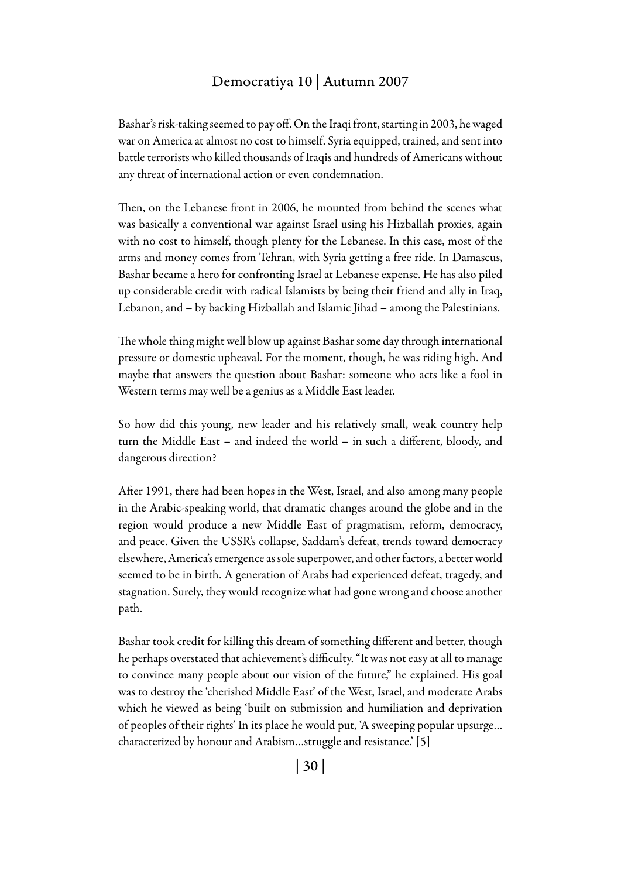Bashar's risk-taking seemed to pay off. On the Iraqi front, starting in 2003, he waged war on America at almost no cost to himself. Syria equipped, trained, and sent into battle terrorists who killed thousands of Iraqis and hundreds of Americans without any threat of international action or even condemnation.

Then, on the Lebanese front in 2006, he mounted from behind the scenes what was basically a conventional war against Israel using his Hizballah proxies, again with no cost to himself, though plenty for the Lebanese. In this case, most of the arms and money comes from Tehran, with Syria getting a free ride. In Damascus, Bashar became a hero for confronting Israel at Lebanese expense. He has also piled up considerable credit with radical Islamists by being their friend and ally in Iraq, Lebanon, and – by backing Hizballah and Islamic Jihad – among the Palestinians.

The whole thing might well blow up against Bashar some day through international pressure or domestic upheaval. For the moment, though, he was riding high. And maybe that answers the question about Bashar: someone who acts like a fool in Western terms may well be a genius as a Middle East leader.

So how did this young, new leader and his relatively small, weak country help turn the Middle East – and indeed the world – in such a different, bloody, and dangerous direction?

After 1991, there had been hopes in the West, Israel, and also among many people in the Arabic-speaking world, that dramatic changes around the globe and in the region would produce a new Middle East of pragmatism, reform, democracy, and peace. Given the USSR's collapse, Saddam's defeat, trends toward democracy elsewhere, America's emergence as sole superpower, and other factors, a better world seemed to be in birth. A generation of Arabs had experienced defeat, tragedy, and stagnation. Surely, they would recognize what had gone wrong and choose another path.

Bashar took credit for killing this dream of something different and better, though he perhaps overstated that achievement's difficulty. "It was not easy at all to manage to convince many people about our vision of the future," he explained. His goal was to destroy the 'cherished Middle East' of the West, Israel, and moderate Arabs which he viewed as being 'built on submission and humiliation and deprivation of peoples of their rights' In its place he would put, 'A sweeping popular upsurge… characterized by honour and Arabism…struggle and resistance.' [5]

| 30 |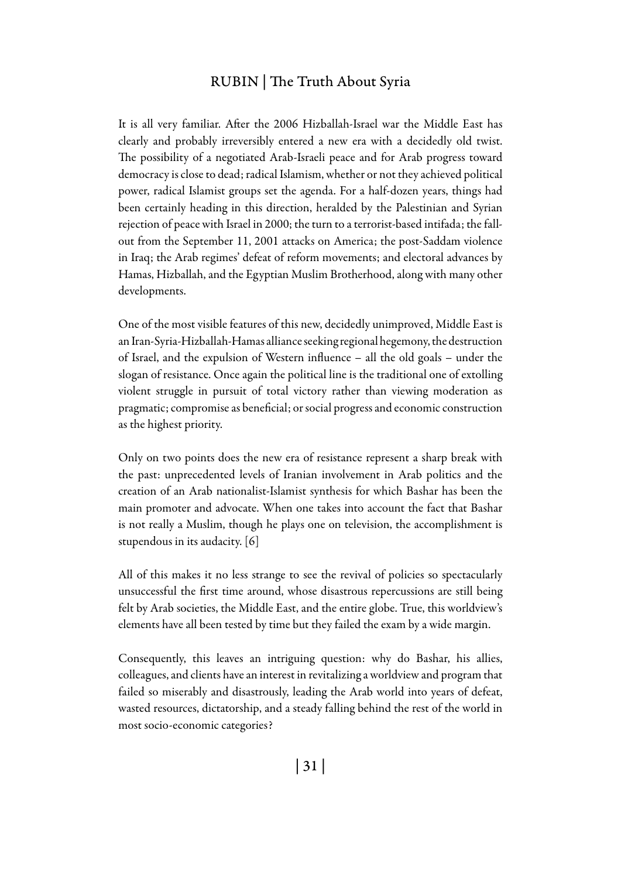It is all very familiar. After the 2006 Hizballah-Israel war the Middle East has clearly and probably irreversibly entered a new era with a decidedly old twist. The possibility of a negotiated Arab-Israeli peace and for Arab progress toward democracy is close to dead; radical Islamism, whether or not they achieved political power, radical Islamist groups set the agenda. For a half-dozen years, things had been certainly heading in this direction, heralded by the Palestinian and Syrian rejection of peace with Israel in 2000; the turn to a terrorist-based intifada; the fallout from the September 11, 2001 attacks on America; the post-Saddam violence in Iraq; the Arab regimes' defeat of reform movements; and electoral advances by Hamas, Hizballah, and the Egyptian Muslim Brotherhood, along with many other developments.

One of the most visible features of this new, decidedly unimproved, Middle East is an Iran-Syria-Hizballah-Hamas alliance seeking regional hegemony, the destruction of Israel, and the expulsion of Western influence – all the old goals – under the slogan of resistance. Once again the political line is the traditional one of extolling violent struggle in pursuit of total victory rather than viewing moderation as pragmatic; compromise as beneficial; or social progress and economic construction as the highest priority.

Only on two points does the new era of resistance represent a sharp break with the past: unprecedented levels of Iranian involvement in Arab politics and the creation of an Arab nationalist-Islamist synthesis for which Bashar has been the main promoter and advocate. When one takes into account the fact that Bashar is not really a Muslim, though he plays one on television, the accomplishment is stupendous in its audacity. [6]

All of this makes it no less strange to see the revival of policies so spectacularly unsuccessful the first time around, whose disastrous repercussions are still being felt by Arab societies, the Middle East, and the entire globe. True, this worldview's elements have all been tested by time but they failed the exam by a wide margin.

Consequently, this leaves an intriguing question: why do Bashar, his allies, colleagues, and clients have an interest in revitalizing a worldview and program that failed so miserably and disastrously, leading the Arab world into years of defeat, wasted resources, dictatorship, and a steady falling behind the rest of the world in most socio-economic categories?

| 31 |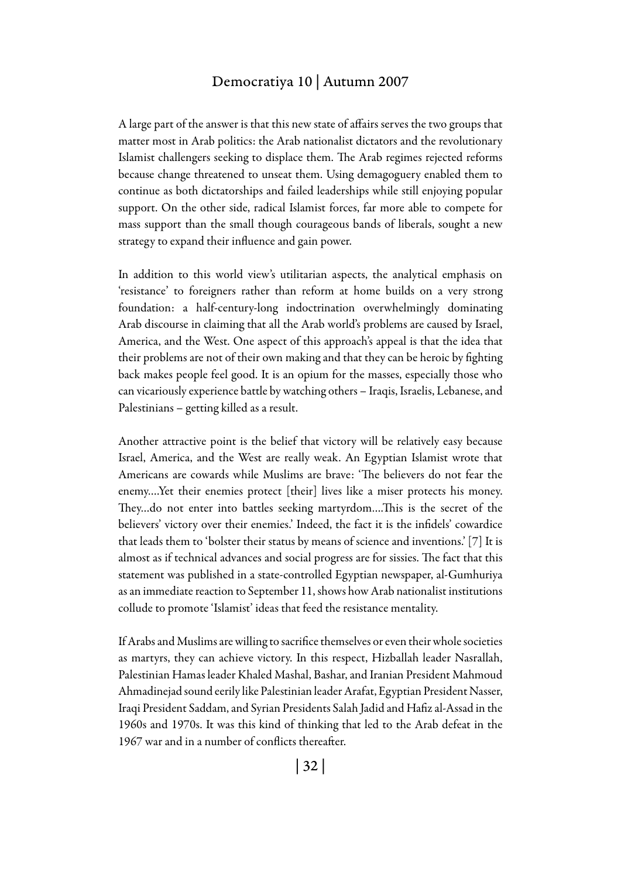A large part of the answer is that this new state of affairs serves the two groups that matter most in Arab politics: the Arab nationalist dictators and the revolutionary Islamist challengers seeking to displace them. The Arab regimes rejected reforms because change threatened to unseat them. Using demagoguery enabled them to continue as both dictatorships and failed leaderships while still enjoying popular support. On the other side, radical Islamist forces, far more able to compete for mass support than the small though courageous bands of liberals, sought a new strategy to expand their influence and gain power.

In addition to this world view's utilitarian aspects, the analytical emphasis on 'resistance' to foreigners rather than reform at home builds on a very strong foundation: a half-century-long indoctrination overwhelmingly dominating Arab discourse in claiming that all the Arab world's problems are caused by Israel, America, and the West. One aspect of this approach's appeal is that the idea that their problems are not of their own making and that they can be heroic by fighting back makes people feel good. It is an opium for the masses, especially those who can vicariously experience battle by watching others – Iraqis, Israelis, Lebanese, and Palestinians – getting killed as a result.

Another attractive point is the belief that victory will be relatively easy because Israel, America, and the West are really weak. An Egyptian Islamist wrote that Americans are cowards while Muslims are brave: 'The believers do not fear the enemy….Yet their enemies protect [their] lives like a miser protects his money. They…do not enter into battles seeking martyrdom….This is the secret of the believers' victory over their enemies.' Indeed, the fact it is the infidels' cowardice that leads them to 'bolster their status by means of science and inventions.' [7] It is almost as if technical advances and social progress are for sissies. The fact that this statement was published in a state-controlled Egyptian newspaper, al-Gumhuriya as an immediate reaction to September 11, shows how Arab nationalist institutions collude to promote 'Islamist' ideas that feed the resistance mentality.

If Arabs and Muslims are willing to sacrifice themselves or even their whole societies as martyrs, they can achieve victory. In this respect, Hizballah leader Nasrallah, Palestinian Hamas leader Khaled Mashal, Bashar, and Iranian President Mahmoud Ahmadinejad sound eerily like Palestinian leader Arafat, Egyptian President Nasser, Iraqi President Saddam, and Syrian Presidents Salah Jadid and Hafiz al-Assad in the 1960s and 1970s. It was this kind of thinking that led to the Arab defeat in the 1967 war and in a number of conflicts thereafter.

| 32 |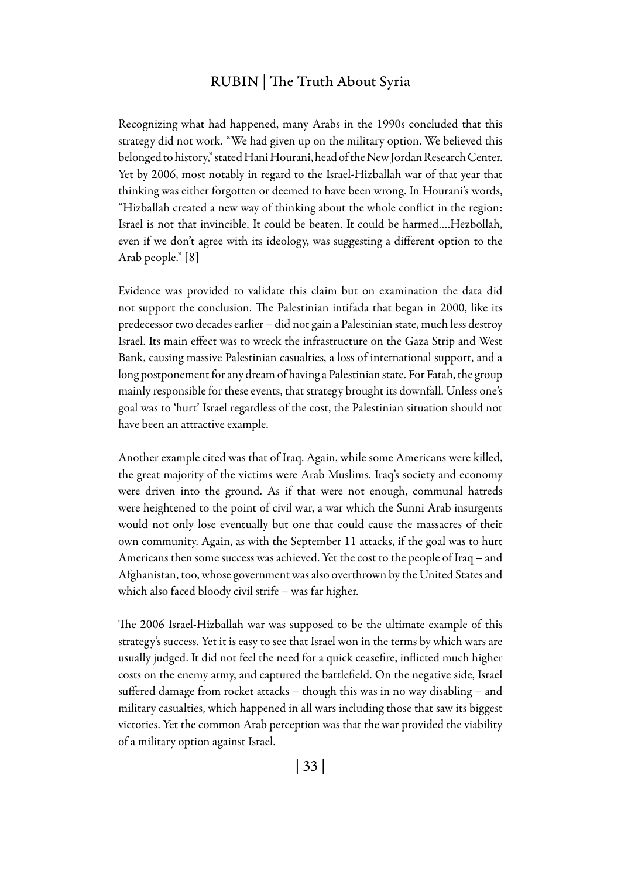Recognizing what had happened, many Arabs in the 1990s concluded that this strategy did not work. "We had given up on the military option. We believed this belonged to history," stated Hani Hourani, head of the New Jordan Research Center. Yet by 2006, most notably in regard to the Israel-Hizballah war of that year that thinking was either forgotten or deemed to have been wrong. In Hourani's words, "Hizballah created a new way of thinking about the whole conflict in the region: Israel is not that invincible. It could be beaten. It could be harmed….Hezbollah, even if we don't agree with its ideology, was suggesting a different option to the Arab people." [8]

Evidence was provided to validate this claim but on examination the data did not support the conclusion. The Palestinian intifada that began in 2000, like its predecessor two decades earlier – did not gain a Palestinian state, much less destroy Israel. Its main effect was to wreck the infrastructure on the Gaza Strip and West Bank, causing massive Palestinian casualties, a loss of international support, and a long postponement for any dream of having a Palestinian state. For Fatah, the group mainly responsible for these events, that strategy brought its downfall. Unless one's goal was to 'hurt' Israel regardless of the cost, the Palestinian situation should not have been an attractive example.

Another example cited was that of Iraq. Again, while some Americans were killed, the great majority of the victims were Arab Muslims. Iraq's society and economy were driven into the ground. As if that were not enough, communal hatreds were heightened to the point of civil war, a war which the Sunni Arab insurgents would not only lose eventually but one that could cause the massacres of their own community. Again, as with the September 11 attacks, if the goal was to hurt Americans then some success was achieved. Yet the cost to the people of Iraq – and Afghanistan, too, whose government was also overthrown by the United States and which also faced bloody civil strife – was far higher.

The 2006 Israel-Hizballah war was supposed to be the ultimate example of this strategy's success. Yet it is easy to see that Israel won in the terms by which wars are usually judged. It did not feel the need for a quick ceasefire, inflicted much higher costs on the enemy army, and captured the battlefield. On the negative side, Israel suffered damage from rocket attacks – though this was in no way disabling – and military casualties, which happened in all wars including those that saw its biggest victories. Yet the common Arab perception was that the war provided the viability of a military option against Israel.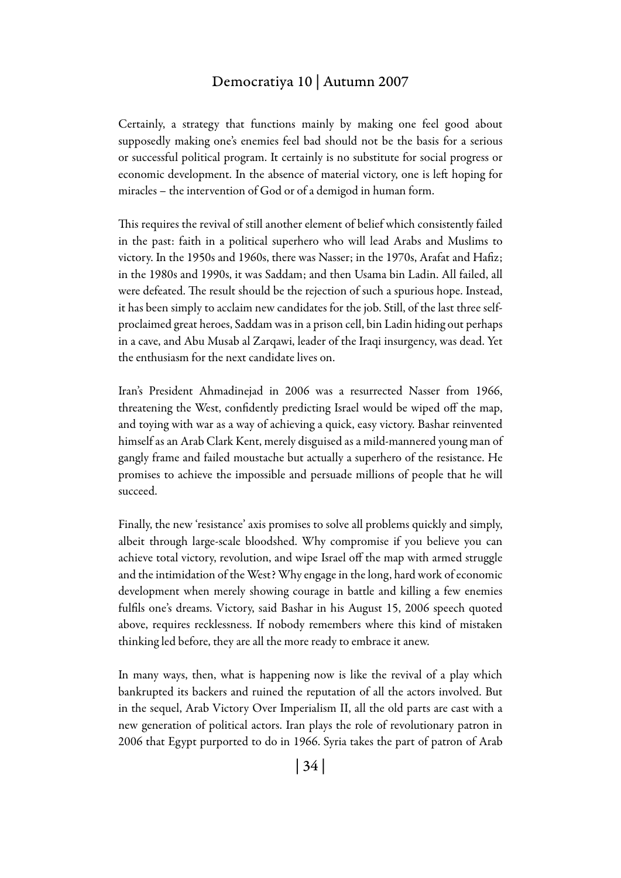Certainly, a strategy that functions mainly by making one feel good about supposedly making one's enemies feel bad should not be the basis for a serious or successful political program. It certainly is no substitute for social progress or economic development. In the absence of material victory, one is left hoping for miracles – the intervention of God or of a demigod in human form.

This requires the revival of still another element of belief which consistently failed in the past: faith in a political superhero who will lead Arabs and Muslims to victory. In the 1950s and 1960s, there was Nasser; in the 1970s, Arafat and Hafiz; in the 1980s and 1990s, it was Saddam; and then Usama bin Ladin. All failed, all were defeated. The result should be the rejection of such a spurious hope. Instead, it has been simply to acclaim new candidates for the job. Still, of the last three selfproclaimed great heroes, Saddam was in a prison cell, bin Ladin hiding out perhaps in a cave, and Abu Musab al Zarqawi, leader of the Iraqi insurgency, was dead. Yet the enthusiasm for the next candidate lives on.

Iran's President Ahmadinejad in 2006 was a resurrected Nasser from 1966, threatening the West, confidently predicting Israel would be wiped off the map, and toying with war as a way of achieving a quick, easy victory. Bashar reinvented himself as an Arab Clark Kent, merely disguised as a mild-mannered young man of gangly frame and failed moustache but actually a superhero of the resistance. He promises to achieve the impossible and persuade millions of people that he will succeed.

Finally, the new 'resistance' axis promises to solve all problems quickly and simply, albeit through large-scale bloodshed. Why compromise if you believe you can achieve total victory, revolution, and wipe Israel off the map with armed struggle and the intimidation of the West? Why engage in the long, hard work of economic development when merely showing courage in battle and killing a few enemies fulfils one's dreams. Victory, said Bashar in his August 15, 2006 speech quoted above, requires recklessness. If nobody remembers where this kind of mistaken thinking led before, they are all the more ready to embrace it anew.

In many ways, then, what is happening now is like the revival of a play which bankrupted its backers and ruined the reputation of all the actors involved. But in the sequel, Arab Victory Over Imperialism II, all the old parts are cast with a new generation of political actors. Iran plays the role of revolutionary patron in 2006 that Egypt purported to do in 1966. Syria takes the part of patron of Arab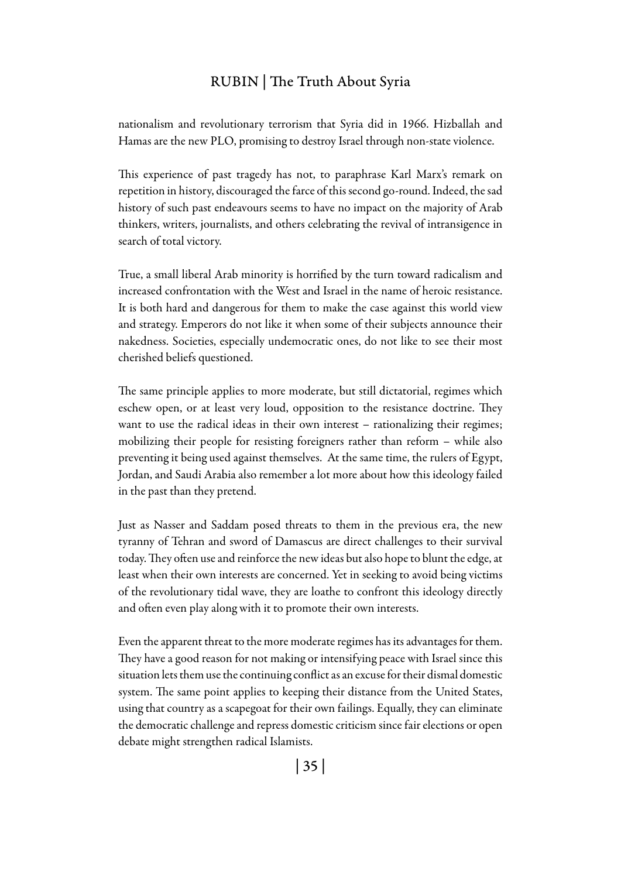nationalism and revolutionary terrorism that Syria did in 1966. Hizballah and Hamas are the new PLO, promising to destroy Israel through non-state violence.

This experience of past tragedy has not, to paraphrase Karl Marx's remark on repetition in history, discouraged the farce of this second go-round. Indeed, the sad history of such past endeavours seems to have no impact on the majority of Arab thinkers, writers, journalists, and others celebrating the revival of intransigence in search of total victory.

True, a small liberal Arab minority is horrified by the turn toward radicalism and increased confrontation with the West and Israel in the name of heroic resistance. It is both hard and dangerous for them to make the case against this world view and strategy. Emperors do not like it when some of their subjects announce their nakedness. Societies, especially undemocratic ones, do not like to see their most cherished beliefs questioned.

The same principle applies to more moderate, but still dictatorial, regimes which eschew open, or at least very loud, opposition to the resistance doctrine. They want to use the radical ideas in their own interest – rationalizing their regimes; mobilizing their people for resisting foreigners rather than reform – while also preventing it being used against themselves. At the same time, the rulers of Egypt, Jordan, and Saudi Arabia also remember a lot more about how this ideology failed in the past than they pretend.

Just as Nasser and Saddam posed threats to them in the previous era, the new tyranny of Tehran and sword of Damascus are direct challenges to their survival today. They often use and reinforce the new ideas but also hope to blunt the edge, at least when their own interests are concerned. Yet in seeking to avoid being victims of the revolutionary tidal wave, they are loathe to confront this ideology directly and often even play along with it to promote their own interests.

Even the apparent threat to the more moderate regimes has its advantages for them. They have a good reason for not making or intensifying peace with Israel since this situation lets them use the continuing conflict as an excuse for their dismal domestic system. The same point applies to keeping their distance from the United States, using that country as a scapegoat for their own failings. Equally, they can eliminate the democratic challenge and repress domestic criticism since fair elections or open debate might strengthen radical Islamists.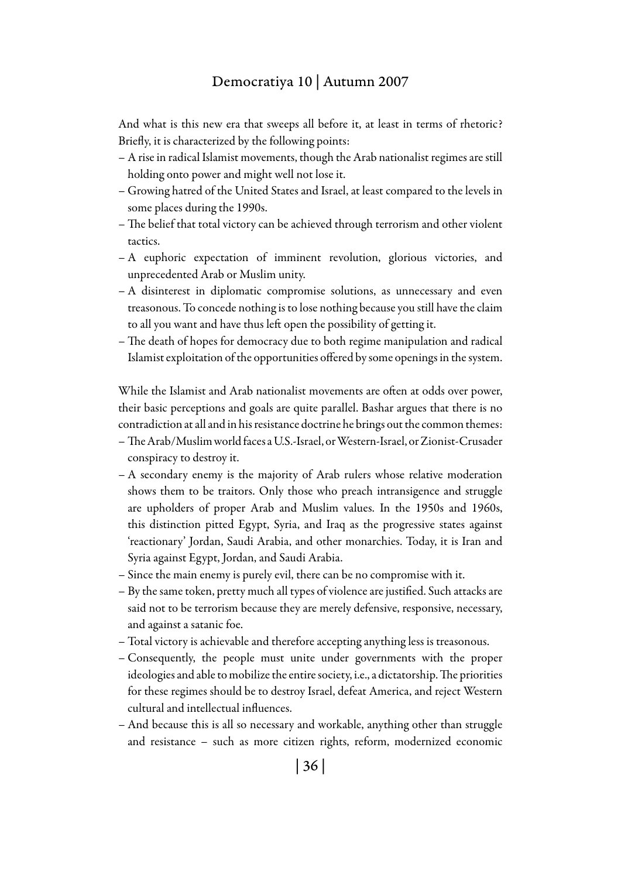And what is this new era that sweeps all before it, at least in terms of rhetoric? Briefly, it is characterized by the following points:

- A rise in radical Islamist movements, though the Arab nationalist regimes are still holding onto power and might well not lose it.
- Growing hatred of the United States and Israel, at least compared to the levels in some places during the 1990s.
- The belief that total victory can be achieved through terrorism and other violent tactics.
- A euphoric expectation of imminent revolution, glorious victories, and unprecedented Arab or Muslim unity.
- A disinterest in diplomatic compromise solutions, as unnecessary and even treasonous. To concede nothing is to lose nothing because you still have the claim to all you want and have thus left open the possibility of getting it.
- The death of hopes for democracy due to both regime manipulation and radical Islamist exploitation of the opportunities offered by some openings in the system.

While the Islamist and Arab nationalist movements are often at odds over power, their basic perceptions and goals are quite parallel. Bashar argues that there is no contradiction at all and in his resistance doctrine he brings out the common themes:

- The Arab/Muslim world faces a U.S.-Israel, or Western-Israel, or Zionist-Crusader conspiracy to destroy it.
- A secondary enemy is the majority of Arab rulers whose relative moderation shows them to be traitors. Only those who preach intransigence and struggle are upholders of proper Arab and Muslim values. In the 1950s and 1960s, this distinction pitted Egypt, Syria, and Iraq as the progressive states against 'reactionary' Jordan, Saudi Arabia, and other monarchies. Today, it is Iran and Syria against Egypt, Jordan, and Saudi Arabia.
- Since the main enemy is purely evil, there can be no compromise with it.
- By the same token, pretty much all types of violence are justified. Such attacks are said not to be terrorism because they are merely defensive, responsive, necessary, and against a satanic foe.
- Total victory is achievable and therefore accepting anything less is treasonous.
- Consequently, the people must unite under governments with the proper ideologies and able to mobilize the entire society, i.e., a dictatorship. The priorities for these regimes should be to destroy Israel, defeat America, and reject Western cultural and intellectual influences.
- And because this is all so necessary and workable, anything other than struggle and resistance – such as more citizen rights, reform, modernized economic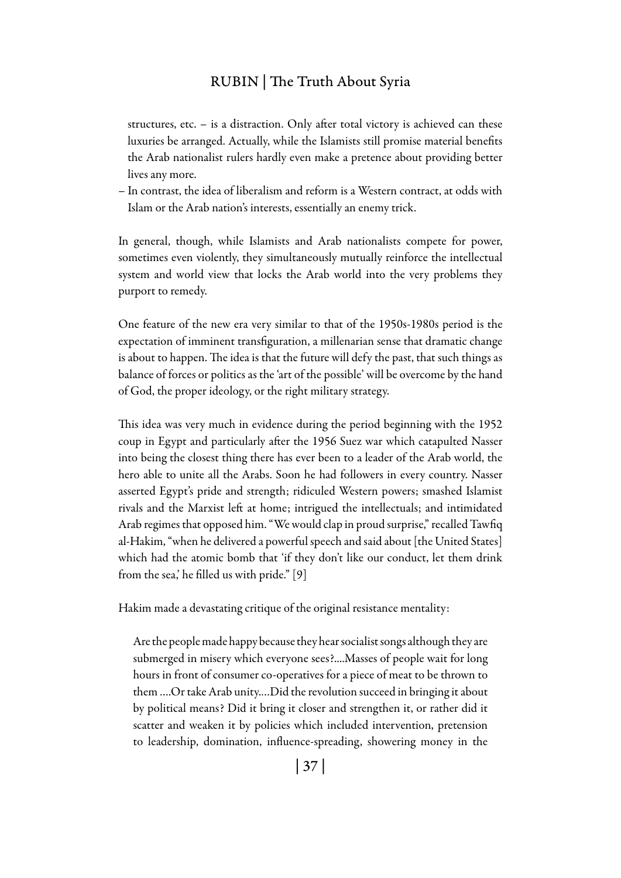structures, etc. – is a distraction. Only after total victory is achieved can these luxuries be arranged. Actually, while the Islamists still promise material benefits the Arab nationalist rulers hardly even make a pretence about providing better lives any more.

– In contrast, the idea of liberalism and reform is a Western contract, at odds with Islam or the Arab nation's interests, essentially an enemy trick.

In general, though, while Islamists and Arab nationalists compete for power, sometimes even violently, they simultaneously mutually reinforce the intellectual system and world view that locks the Arab world into the very problems they purport to remedy.

One feature of the new era very similar to that of the 1950s-1980s period is the expectation of imminent transfiguration, a millenarian sense that dramatic change is about to happen. The idea is that the future will defy the past, that such things as balance of forces or politics as the 'art of the possible' will be overcome by the hand of God, the proper ideology, or the right military strategy.

This idea was very much in evidence during the period beginning with the 1952 coup in Egypt and particularly after the 1956 Suez war which catapulted Nasser into being the closest thing there has ever been to a leader of the Arab world, the hero able to unite all the Arabs. Soon he had followers in every country. Nasser asserted Egypt's pride and strength; ridiculed Western powers; smashed Islamist rivals and the Marxist left at home; intrigued the intellectuals; and intimidated Arab regimes that opposed him. "We would clap in proud surprise," recalled Tawfiq al-Hakim, "when he delivered a powerful speech and said about [the United States] which had the atomic bomb that 'if they don't like our conduct, let them drink from the sea,' he filled us with pride." [9]

Hakim made a devastating critique of the original resistance mentality:

Are the people made happy because they hear socialist songs although they are submerged in misery which everyone sees?....Masses of people wait for long hours in front of consumer co-operatives for a piece of meat to be thrown to them ….Or take Arab unity.…Did the revolution succeed in bringing it about by political means? Did it bring it closer and strengthen it, or rather did it scatter and weaken it by policies which included intervention, pretension to leadership, domination, influence-spreading, showering money in the

| 37 |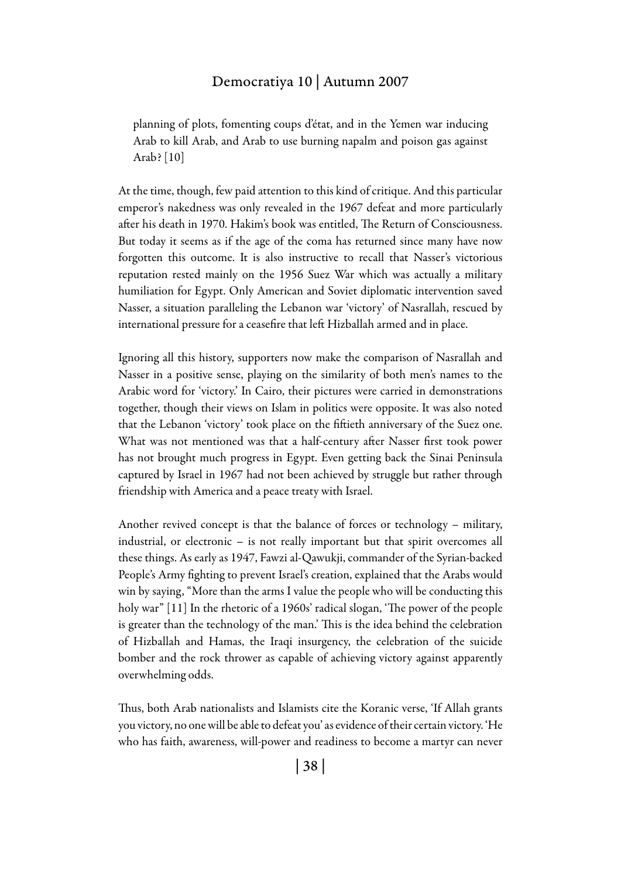planning of plots, fomenting coups d'état, and in the Yemen war inducing Arab to kill Arab, and Arab to use burning napalm and poison gas against Arab? [10]

At the time, though, few paid attention to this kind of critique. And this particular emperor's nakedness was only revealed in the 1967 defeat and more particularly after his death in 1970. Hakim's book was entitled, The Return of Consciousness. But today it seems as if the age of the coma has returned since many have now forgotten this outcome. It is also instructive to recall that Nasser's victorious reputation rested mainly on the 1956 Suez War which was actually a military humiliation for Egypt. Only American and Soviet diplomatic intervention saved Nasser, a situation paralleling the Lebanon war 'victory' of Nasrallah, rescued by international pressure for a ceasefire that left Hizballah armed and in place.

Ignoring all this history, supporters now make the comparison of Nasrallah and Nasser in a positive sense, playing on the similarity of both men's names to the Arabic word for 'victory.' In Cairo, their pictures were carried in demonstrations together, though their views on Islam in politics were opposite. It was also noted that the Lebanon 'victory' took place on the fiftieth anniversary of the Suez one. What was not mentioned was that a half-century after Nasser first took power has not brought much progress in Egypt. Even getting back the Sinai Peninsula captured by Israel in 1967 had not been achieved by struggle but rather through friendship with America and a peace treaty with Israel.

Another revived concept is that the balance of forces or technology – military, industrial, or electronic – is not really important but that spirit overcomes all these things. As early as 1947, Fawzi al-Qawukji, commander of the Syrian-backed People's Army fighting to prevent Israel's creation, explained that the Arabs would win by saying, "More than the arms I value the people who will be conducting this holy war" [11] In the rhetoric of a 1960s' radical slogan, 'The power of the people is greater than the technology of the man.' This is the idea behind the celebration of Hizballah and Hamas, the Iraqi insurgency, the celebration of the suicide bomber and the rock thrower as capable of achieving victory against apparently overwhelming odds.

Thus, both Arab nationalists and Islamists cite the Koranic verse, 'If Allah grants you victory, no one will be able to defeat you' as evidence of their certain victory. 'He who has faith, awareness, will-power and readiness to become a martyr can never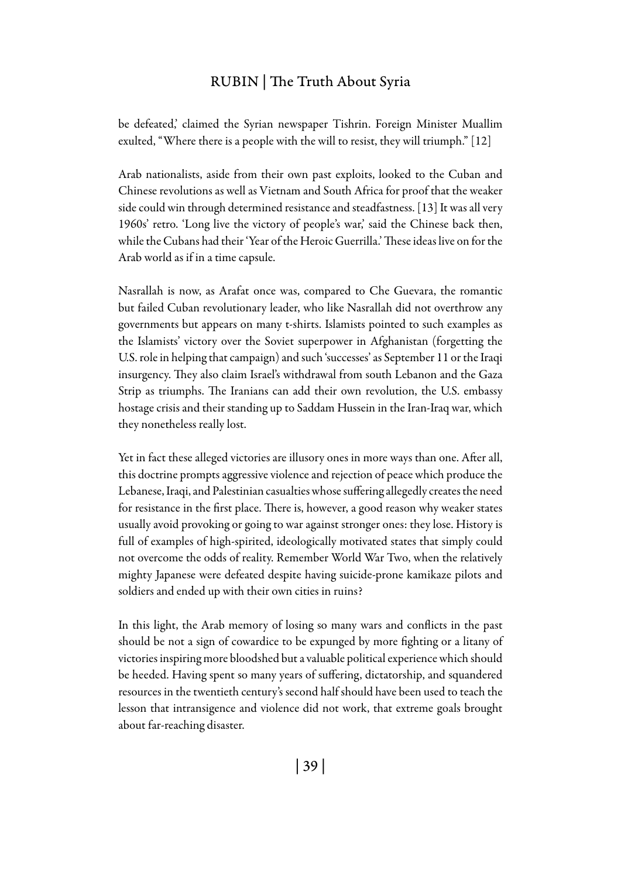be defeated,' claimed the Syrian newspaper Tishrin. Foreign Minister Muallim exulted, "Where there is a people with the will to resist, they will triumph." [12]

Arab nationalists, aside from their own past exploits, looked to the Cuban and Chinese revolutions as well as Vietnam and South Africa for proof that the weaker side could win through determined resistance and steadfastness. [13] It was all very 1960s' retro. 'Long live the victory of people's war,' said the Chinese back then, while the Cubans had their 'Year of the Heroic Guerrilla.' These ideas live on for the Arab world as if in a time capsule.

Nasrallah is now, as Arafat once was, compared to Che Guevara, the romantic but failed Cuban revolutionary leader, who like Nasrallah did not overthrow any governments but appears on many t-shirts. Islamists pointed to such examples as the Islamists' victory over the Soviet superpower in Afghanistan (forgetting the U.S. role in helping that campaign) and such 'successes' as September 11 or the Iraqi insurgency. They also claim Israel's withdrawal from south Lebanon and the Gaza Strip as triumphs. The Iranians can add their own revolution, the U.S. embassy hostage crisis and their standing up to Saddam Hussein in the Iran-Iraq war, which they nonetheless really lost.

Yet in fact these alleged victories are illusory ones in more ways than one. After all, this doctrine prompts aggressive violence and rejection of peace which produce the Lebanese, Iraqi, and Palestinian casualties whose suffering allegedly creates the need for resistance in the first place. There is, however, a good reason why weaker states usually avoid provoking or going to war against stronger ones: they lose. History is full of examples of high-spirited, ideologically motivated states that simply could not overcome the odds of reality. Remember World War Two, when the relatively mighty Japanese were defeated despite having suicide-prone kamikaze pilots and soldiers and ended up with their own cities in ruins?

In this light, the Arab memory of losing so many wars and conflicts in the past should be not a sign of cowardice to be expunged by more fighting or a litany of victories inspiring more bloodshed but a valuable political experience which should be heeded. Having spent so many years of suffering, dictatorship, and squandered resources in the twentieth century's second half should have been used to teach the lesson that intransigence and violence did not work, that extreme goals brought about far-reaching disaster.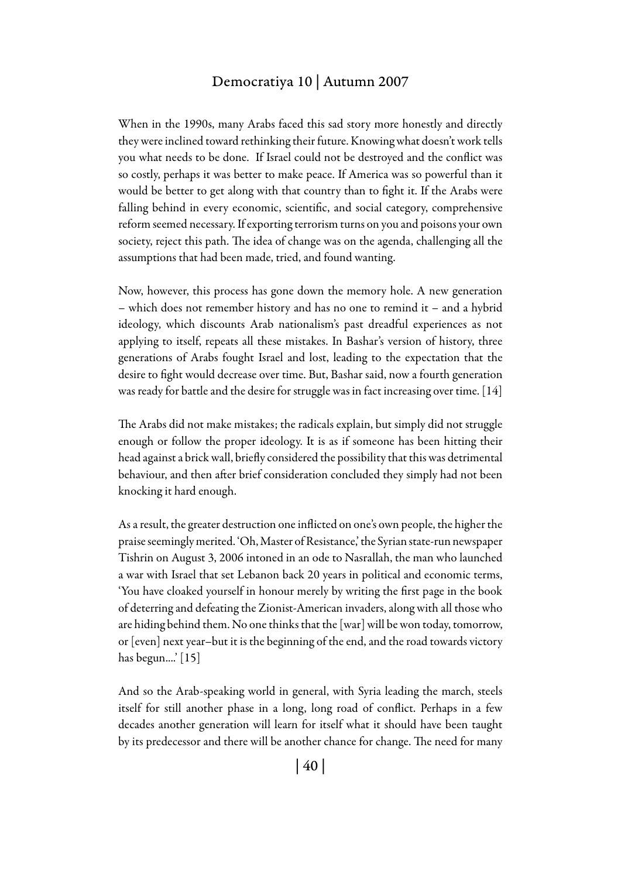When in the 1990s, many Arabs faced this sad story more honestly and directly they were inclined toward rethinking their future. Knowing what doesn't work tells you what needs to be done. If Israel could not be destroyed and the conflict was so costly, perhaps it was better to make peace. If America was so powerful than it would be better to get along with that country than to fight it. If the Arabs were falling behind in every economic, scientific, and social category, comprehensive reform seemed necessary. If exporting terrorism turns on you and poisons your own society, reject this path. The idea of change was on the agenda, challenging all the assumptions that had been made, tried, and found wanting.

Now, however, this process has gone down the memory hole. A new generation – which does not remember history and has no one to remind it – and a hybrid ideology, which discounts Arab nationalism's past dreadful experiences as not applying to itself, repeats all these mistakes. In Bashar's version of history, three generations of Arabs fought Israel and lost, leading to the expectation that the desire to fight would decrease over time. But, Bashar said, now a fourth generation was ready for battle and the desire for struggle was in fact increasing over time. [14]

The Arabs did not make mistakes; the radicals explain, but simply did not struggle enough or follow the proper ideology. It is as if someone has been hitting their head against a brick wall, briefly considered the possibility that this was detrimental behaviour, and then after brief consideration concluded they simply had not been knocking it hard enough.

As a result, the greater destruction one inflicted on one's own people, the higher the praise seemingly merited. 'Oh, Master of Resistance,' the Syrian state-run newspaper Tishrin on August 3, 2006 intoned in an ode to Nasrallah, the man who launched a war with Israel that set Lebanon back 20 years in political and economic terms, 'You have cloaked yourself in honour merely by writing the first page in the book of deterring and defeating the Zionist-American invaders, along with all those who are hiding behind them. No one thinks that the [war] will be won today, tomorrow, or [even] next year–but it is the beginning of the end, and the road towards victory has begun....' [15]

And so the Arab-speaking world in general, with Syria leading the march, steels itself for still another phase in a long, long road of conflict. Perhaps in a few decades another generation will learn for itself what it should have been taught by its predecessor and there will be another chance for change. The need for many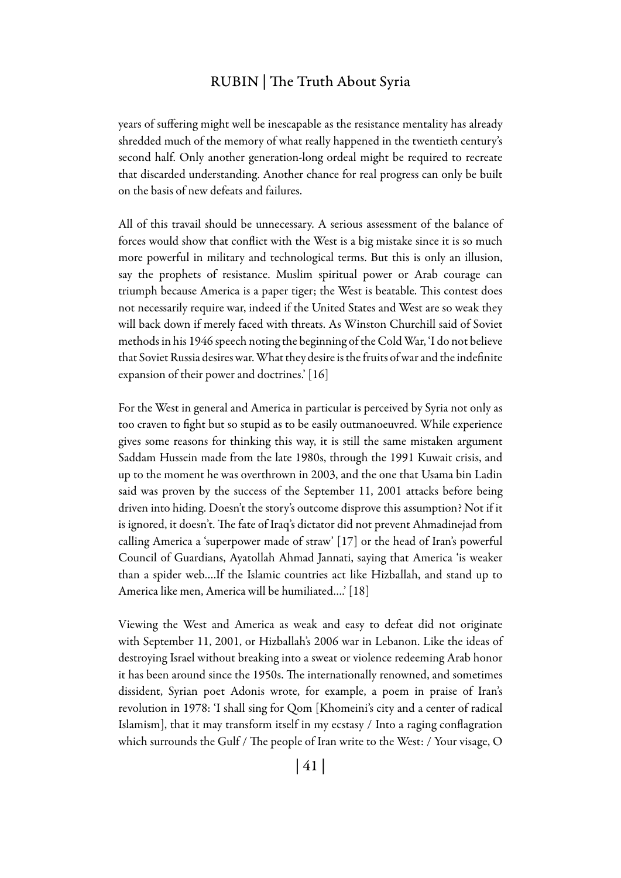years of suffering might well be inescapable as the resistance mentality has already shredded much of the memory of what really happened in the twentieth century's second half. Only another generation-long ordeal might be required to recreate that discarded understanding. Another chance for real progress can only be built on the basis of new defeats and failures.

All of this travail should be unnecessary. A serious assessment of the balance of forces would show that conflict with the West is a big mistake since it is so much more powerful in military and technological terms. But this is only an illusion, say the prophets of resistance. Muslim spiritual power or Arab courage can triumph because America is a paper tiger; the West is beatable. This contest does not necessarily require war, indeed if the United States and West are so weak they will back down if merely faced with threats. As Winston Churchill said of Soviet methods in his 1946 speech noting the beginning of the Cold War, 'I do not believe that Soviet Russia desires war. What they desire is the fruits of war and the indefinite expansion of their power and doctrines.' [16]

For the West in general and America in particular is perceived by Syria not only as too craven to fight but so stupid as to be easily outmanoeuvred. While experience gives some reasons for thinking this way, it is still the same mistaken argument Saddam Hussein made from the late 1980s, through the 1991 Kuwait crisis, and up to the moment he was overthrown in 2003, and the one that Usama bin Ladin said was proven by the success of the September 11, 2001 attacks before being driven into hiding. Doesn't the story's outcome disprove this assumption? Not if it is ignored, it doesn't. The fate of Iraq's dictator did not prevent Ahmadinejad from calling America a 'superpower made of straw' [17] or the head of Iran's powerful Council of Guardians, Ayatollah Ahmad Jannati, saying that America 'is weaker than a spider web….If the Islamic countries act like Hizballah, and stand up to America like men, America will be humiliated….' [18]

Viewing the West and America as weak and easy to defeat did not originate with September 11, 2001, or Hizballah's 2006 war in Lebanon. Like the ideas of destroying Israel without breaking into a sweat or violence redeeming Arab honor it has been around since the 1950s. The internationally renowned, and sometimes dissident, Syrian poet Adonis wrote, for example, a poem in praise of Iran's revolution in 1978: 'I shall sing for Qom [Khomeini's city and a center of radical Islamism], that it may transform itself in my ecstasy / Into a raging conflagration which surrounds the Gulf / The people of Iran write to the West: / Your visage, O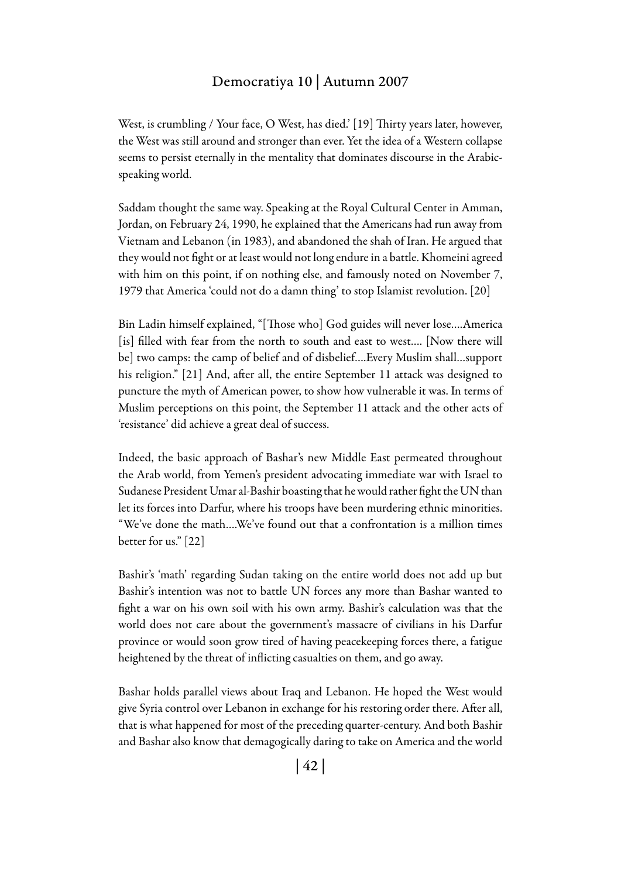West, is crumbling / Your face, O West, has died.' [19] Thirty years later, however, the West was still around and stronger than ever. Yet the idea of a Western collapse seems to persist eternally in the mentality that dominates discourse in the Arabicspeaking world.

Saddam thought the same way. Speaking at the Royal Cultural Center in Amman, Jordan, on February 24, 1990, he explained that the Americans had run away from Vietnam and Lebanon (in 1983), and abandoned the shah of Iran. He argued that they would not fight or at least would not long endure in a battle. Khomeini agreed with him on this point, if on nothing else, and famously noted on November 7, 1979 that America 'could not do a damn thing' to stop Islamist revolution. [20]

Bin Ladin himself explained, "[Those who] God guides will never lose….America [is] filled with fear from the north to south and east to west.... [Now there will be] two camps: the camp of belief and of disbelief….Every Muslim shall…support his religion." [21] And, after all, the entire September 11 attack was designed to puncture the myth of American power, to show how vulnerable it was. In terms of Muslim perceptions on this point, the September 11 attack and the other acts of 'resistance' did achieve a great deal of success.

Indeed, the basic approach of Bashar's new Middle East permeated throughout the Arab world, from Yemen's president advocating immediate war with Israel to Sudanese President Umar al-Bashir boasting that he would rather fight the UN than let its forces into Darfur, where his troops have been murdering ethnic minorities. "We've done the math….We've found out that a confrontation is a million times better for us." [22]

Bashir's 'math' regarding Sudan taking on the entire world does not add up but Bashir's intention was not to battle UN forces any more than Bashar wanted to fight a war on his own soil with his own army. Bashir's calculation was that the world does not care about the government's massacre of civilians in his Darfur province or would soon grow tired of having peacekeeping forces there, a fatigue heightened by the threat of inflicting casualties on them, and go away.

Bashar holds parallel views about Iraq and Lebanon. He hoped the West would give Syria control over Lebanon in exchange for his restoring order there. After all, that is what happened for most of the preceding quarter-century. And both Bashir and Bashar also know that demagogically daring to take on America and the world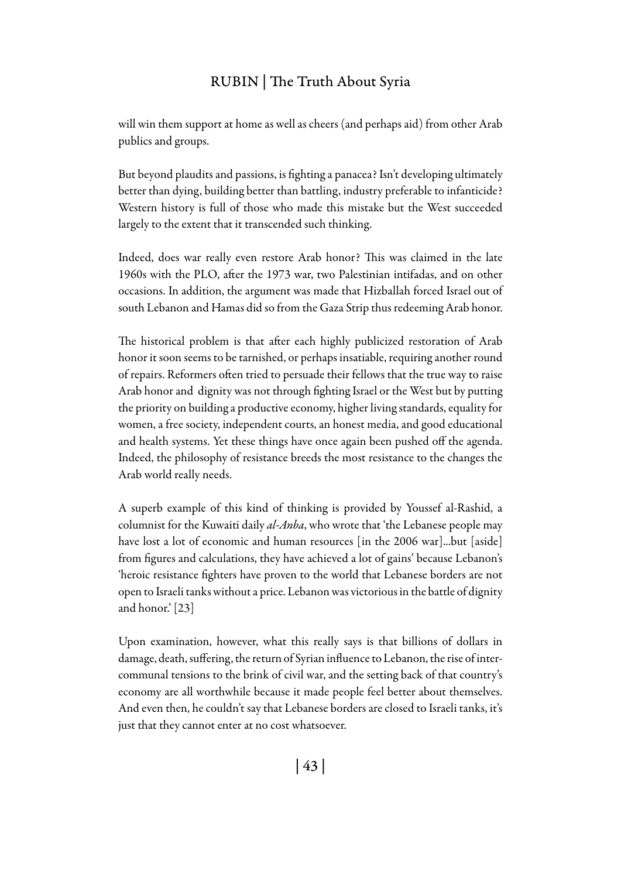will win them support at home as well as cheers (and perhaps aid) from other Arab publics and groups.

But beyond plaudits and passions, is fighting a panacea? Isn't developing ultimately better than dying, building better than battling, industry preferable to infanticide? Western history is full of those who made this mistake but the West succeeded largely to the extent that it transcended such thinking.

Indeed, does war really even restore Arab honor? This was claimed in the late 1960s with the PLO, after the 1973 war, two Palestinian intifadas, and on other occasions. In addition, the argument was made that Hizballah forced Israel out of south Lebanon and Hamas did so from the Gaza Strip thus redeeming Arab honor.

The historical problem is that after each highly publicized restoration of Arab honor it soon seems to be tarnished, or perhaps insatiable, requiring another round of repairs. Reformers often tried to persuade their fellows that the true way to raise Arab honor and dignity was not through fighting Israel or the West but by putting the priority on building a productive economy, higher living standards, equality for women, a free society, independent courts, an honest media, and good educational and health systems. Yet these things have once again been pushed off the agenda. Indeed, the philosophy of resistance breeds the most resistance to the changes the Arab world really needs.

A superb example of this kind of thinking is provided by Youssef al-Rashid, a columnist for the Kuwaiti daily *al-Anba*, who wrote that 'the Lebanese people may have lost a lot of economic and human resources [in the 2006 war]...but [aside] from figures and calculations, they have achieved a lot of gains' because Lebanon's 'heroic resistance fighters have proven to the world that Lebanese borders are not open to Israeli tanks without a price. Lebanon was victorious in the battle of dignity and honor.' [23]

Upon examination, however, what this really says is that billions of dollars in damage, death, suffering, the return of Syrian influence to Lebanon, the rise of intercommunal tensions to the brink of civil war, and the setting back of that country's economy are all worthwhile because it made people feel better about themselves. And even then, he couldn't say that Lebanese borders are closed to Israeli tanks, it's just that they cannot enter at no cost whatsoever.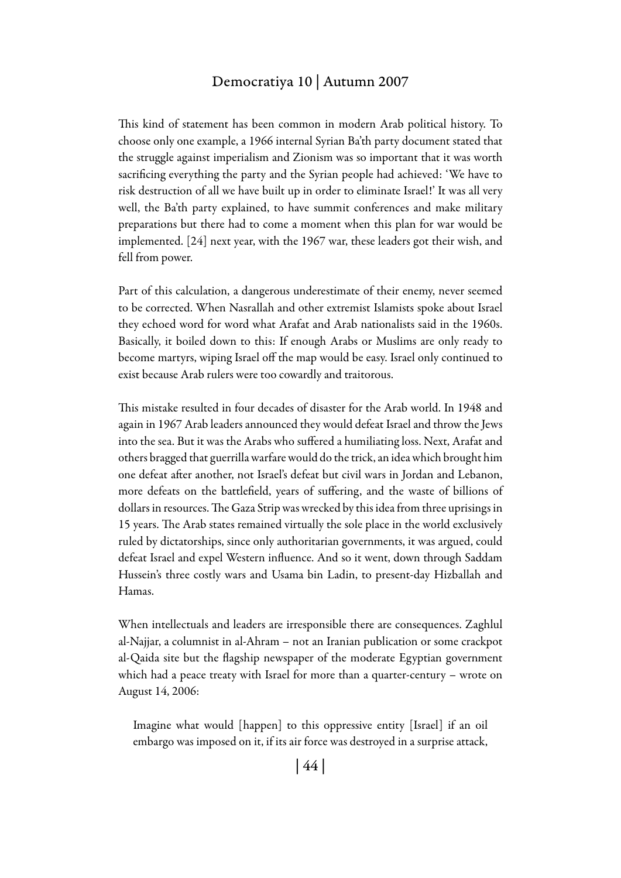This kind of statement has been common in modern Arab political history. To choose only one example, a 1966 internal Syrian Ba'th party document stated that the struggle against imperialism and Zionism was so important that it was worth sacrificing everything the party and the Syrian people had achieved: 'We have to risk destruction of all we have built up in order to eliminate Israel!' It was all very well, the Ba'th party explained, to have summit conferences and make military preparations but there had to come a moment when this plan for war would be implemented. [24] next year, with the 1967 war, these leaders got their wish, and fell from power.

Part of this calculation, a dangerous underestimate of their enemy, never seemed to be corrected. When Nasrallah and other extremist Islamists spoke about Israel they echoed word for word what Arafat and Arab nationalists said in the 1960s. Basically, it boiled down to this: If enough Arabs or Muslims are only ready to become martyrs, wiping Israel off the map would be easy. Israel only continued to exist because Arab rulers were too cowardly and traitorous.

This mistake resulted in four decades of disaster for the Arab world. In 1948 and again in 1967 Arab leaders announced they would defeat Israel and throw the Jews into the sea. But it was the Arabs who suffered a humiliating loss. Next, Arafat and others bragged that guerrilla warfare would do the trick, an idea which brought him one defeat after another, not Israel's defeat but civil wars in Jordan and Lebanon, more defeats on the battlefield, years of suffering, and the waste of billions of dollars in resources. The Gaza Strip was wrecked by this idea from three uprisings in 15 years. The Arab states remained virtually the sole place in the world exclusively ruled by dictatorships, since only authoritarian governments, it was argued, could defeat Israel and expel Western influence. And so it went, down through Saddam Hussein's three costly wars and Usama bin Ladin, to present-day Hizballah and Hamas.

When intellectuals and leaders are irresponsible there are consequences. Zaghlul al-Najjar, a columnist in al-Ahram – not an Iranian publication or some crackpot al-Qaida site but the flagship newspaper of the moderate Egyptian government which had a peace treaty with Israel for more than a quarter-century – wrote on August 14, 2006:

Imagine what would [happen] to this oppressive entity [Israel] if an oil embargo was imposed on it, if its air force was destroyed in a surprise attack,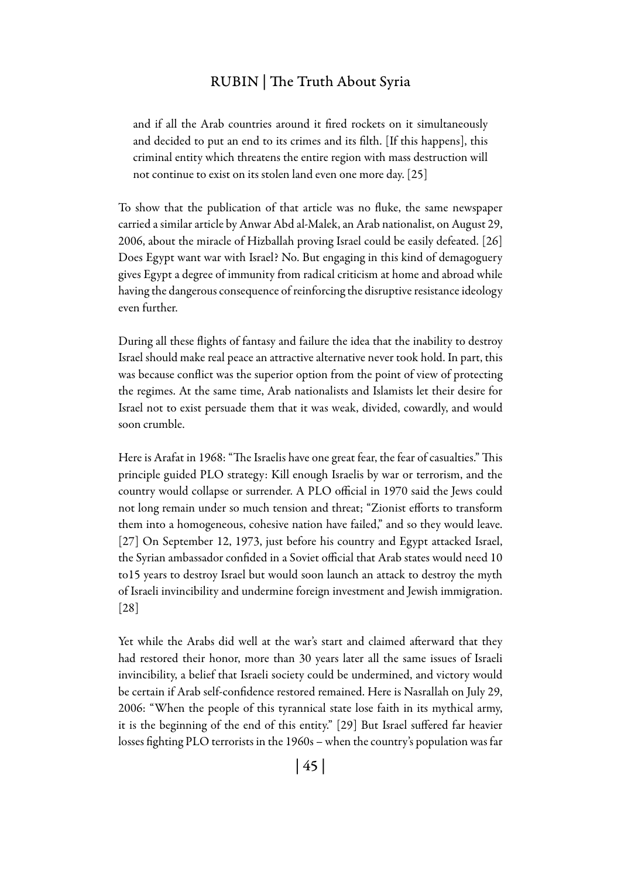and if all the Arab countries around it fired rockets on it simultaneously and decided to put an end to its crimes and its filth. [If this happens], this criminal entity which threatens the entire region with mass destruction will not continue to exist on its stolen land even one more day. [25]

To show that the publication of that article was no fluke, the same newspaper carried a similar article by Anwar Abd al-Malek, an Arab nationalist, on August 29, 2006, about the miracle of Hizballah proving Israel could be easily defeated. [26] Does Egypt want war with Israel? No. But engaging in this kind of demagoguery gives Egypt a degree of immunity from radical criticism at home and abroad while having the dangerous consequence of reinforcing the disruptive resistance ideology even further.

During all these flights of fantasy and failure the idea that the inability to destroy Israel should make real peace an attractive alternative never took hold. In part, this was because conflict was the superior option from the point of view of protecting the regimes. At the same time, Arab nationalists and Islamists let their desire for Israel not to exist persuade them that it was weak, divided, cowardly, and would soon crumble.

Here is Arafat in 1968: "The Israelis have one great fear, the fear of casualties." This principle guided PLO strategy: Kill enough Israelis by war or terrorism, and the country would collapse or surrender. A PLO official in 1970 said the Jews could not long remain under so much tension and threat; "Zionist efforts to transform them into a homogeneous, cohesive nation have failed," and so they would leave. [27] On September 12, 1973, just before his country and Egypt attacked Israel, the Syrian ambassador confided in a Soviet official that Arab states would need 10 to15 years to destroy Israel but would soon launch an attack to destroy the myth of Israeli invincibility and undermine foreign investment and Jewish immigration. [28]

Yet while the Arabs did well at the war's start and claimed afterward that they had restored their honor, more than 30 years later all the same issues of Israeli invincibility, a belief that Israeli society could be undermined, and victory would be certain if Arab self-confidence restored remained. Here is Nasrallah on July 29, 2006: "When the people of this tyrannical state lose faith in its mythical army, it is the beginning of the end of this entity." [29] But Israel suffered far heavier losses fighting PLO terrorists in the 1960s – when the country's population was far

| 45 |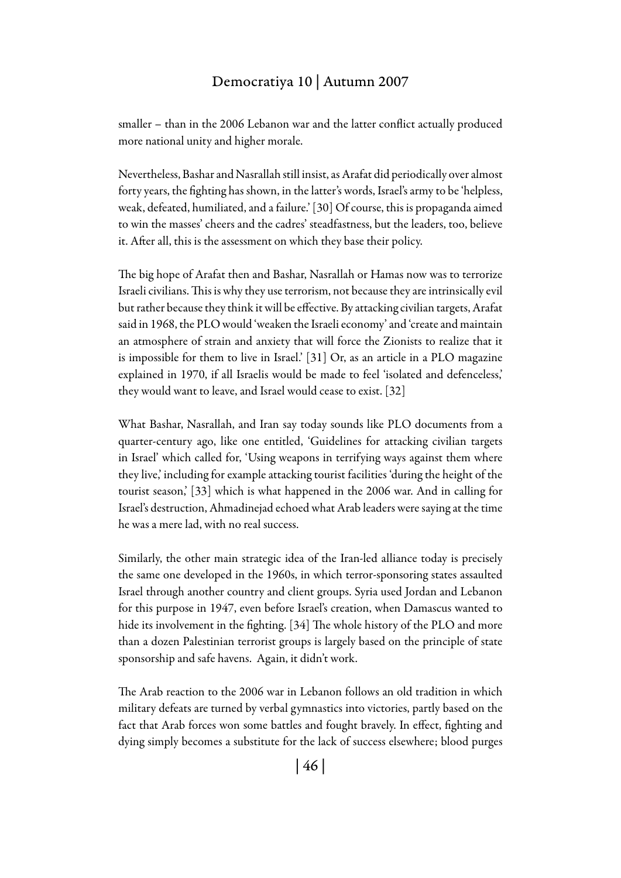smaller – than in the 2006 Lebanon war and the latter conflict actually produced more national unity and higher morale.

Nevertheless, Bashar and Nasrallah still insist, as Arafat did periodically over almost forty years, the fighting has shown, in the latter's words, Israel's army to be 'helpless, weak, defeated, humiliated, and a failure.' [30] Of course, this is propaganda aimed to win the masses' cheers and the cadres' steadfastness, but the leaders, too, believe it. After all, this is the assessment on which they base their policy.

The big hope of Arafat then and Bashar, Nasrallah or Hamas now was to terrorize Israeli civilians. This is why they use terrorism, not because they are intrinsically evil but rather because they think it will be effective. By attacking civilian targets, Arafat said in 1968, the PLO would 'weaken the Israeli economy' and 'create and maintain an atmosphere of strain and anxiety that will force the Zionists to realize that it is impossible for them to live in Israel.' [31] Or, as an article in a PLO magazine explained in 1970, if all Israelis would be made to feel 'isolated and defenceless,' they would want to leave, and Israel would cease to exist. [32]

What Bashar, Nasrallah, and Iran say today sounds like PLO documents from a quarter-century ago, like one entitled, 'Guidelines for attacking civilian targets in Israel' which called for, 'Using weapons in terrifying ways against them where they live,' including for example attacking tourist facilities 'during the height of the tourist season,' [33] which is what happened in the 2006 war. And in calling for Israel's destruction, Ahmadinejad echoed what Arab leaders were saying at the time he was a mere lad, with no real success.

Similarly, the other main strategic idea of the Iran-led alliance today is precisely the same one developed in the 1960s, in which terror-sponsoring states assaulted Israel through another country and client groups. Syria used Jordan and Lebanon for this purpose in 1947, even before Israel's creation, when Damascus wanted to hide its involvement in the fighting. [34] The whole history of the PLO and more than a dozen Palestinian terrorist groups is largely based on the principle of state sponsorship and safe havens. Again, it didn't work.

The Arab reaction to the 2006 war in Lebanon follows an old tradition in which military defeats are turned by verbal gymnastics into victories, partly based on the fact that Arab forces won some battles and fought bravely. In effect, fighting and dying simply becomes a substitute for the lack of success elsewhere; blood purges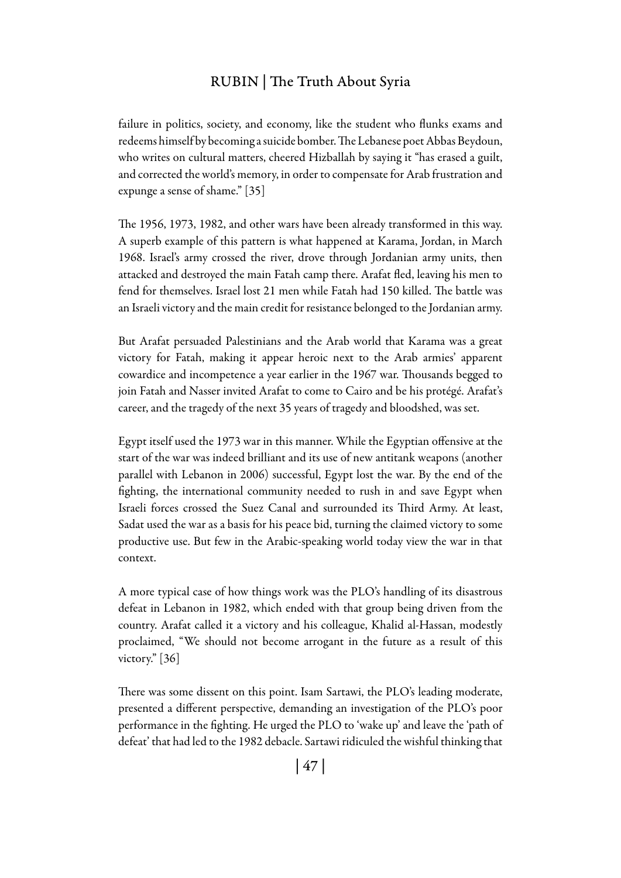failure in politics, society, and economy, like the student who flunks exams and redeems himself by becoming a suicide bomber. The Lebanese poet Abbas Beydoun, who writes on cultural matters, cheered Hizballah by saying it "has erased a guilt, and corrected the world's memory, in order to compensate for Arab frustration and expunge a sense of shame." [35]

The 1956, 1973, 1982, and other wars have been already transformed in this way. A superb example of this pattern is what happened at Karama, Jordan, in March 1968. Israel's army crossed the river, drove through Jordanian army units, then attacked and destroyed the main Fatah camp there. Arafat fled, leaving his men to fend for themselves. Israel lost 21 men while Fatah had 150 killed. The battle was an Israeli victory and the main credit for resistance belonged to the Jordanian army.

But Arafat persuaded Palestinians and the Arab world that Karama was a great victory for Fatah, making it appear heroic next to the Arab armies' apparent cowardice and incompetence a year earlier in the 1967 war. Thousands begged to join Fatah and Nasser invited Arafat to come to Cairo and be his protégé. Arafat's career, and the tragedy of the next 35 years of tragedy and bloodshed, was set.

Egypt itself used the 1973 war in this manner. While the Egyptian offensive at the start of the war was indeed brilliant and its use of new antitank weapons (another parallel with Lebanon in 2006) successful, Egypt lost the war. By the end of the fighting, the international community needed to rush in and save Egypt when Israeli forces crossed the Suez Canal and surrounded its Third Army. At least, Sadat used the war as a basis for his peace bid, turning the claimed victory to some productive use. But few in the Arabic-speaking world today view the war in that context.

A more typical case of how things work was the PLO's handling of its disastrous defeat in Lebanon in 1982, which ended with that group being driven from the country. Arafat called it a victory and his colleague, Khalid al-Hassan, modestly proclaimed, "We should not become arrogant in the future as a result of this victory." [36]

There was some dissent on this point. Isam Sartawi, the PLO's leading moderate, presented a different perspective, demanding an investigation of the PLO's poor performance in the fighting. He urged the PLO to 'wake up' and leave the 'path of defeat' that had led to the 1982 debacle. Sartawi ridiculed the wishful thinking that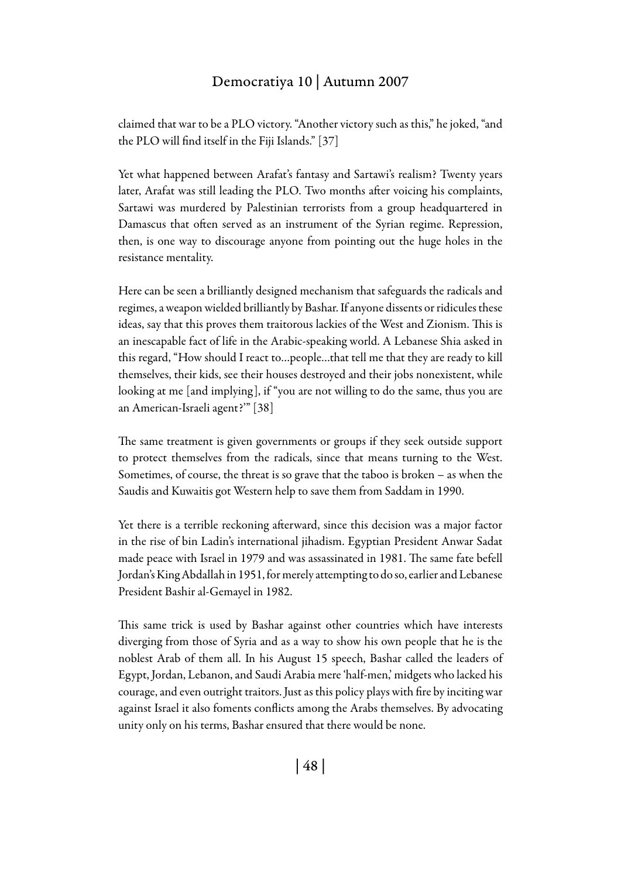claimed that war to be a PLO victory. "Another victory such as this," he joked, "and the PLO will find itself in the Fiji Islands." [37]

Yet what happened between Arafat's fantasy and Sartawi's realism? Twenty years later, Arafat was still leading the PLO. Two months after voicing his complaints, Sartawi was murdered by Palestinian terrorists from a group headquartered in Damascus that often served as an instrument of the Syrian regime. Repression, then, is one way to discourage anyone from pointing out the huge holes in the resistance mentality.

Here can be seen a brilliantly designed mechanism that safeguards the radicals and regimes, a weapon wielded brilliantly by Bashar. If anyone dissents or ridicules these ideas, say that this proves them traitorous lackies of the West and Zionism. This is an inescapable fact of life in the Arabic-speaking world. A Lebanese Shia asked in this regard, "How should I react to…people…that tell me that they are ready to kill themselves, their kids, see their houses destroyed and their jobs nonexistent, while looking at me [and implying], if "you are not willing to do the same, thus you are an American-Israeli agent?'" [38]

The same treatment is given governments or groups if they seek outside support to protect themselves from the radicals, since that means turning to the West. Sometimes, of course, the threat is so grave that the taboo is broken – as when the Saudis and Kuwaitis got Western help to save them from Saddam in 1990.

Yet there is a terrible reckoning afterward, since this decision was a major factor in the rise of bin Ladin's international jihadism. Egyptian President Anwar Sadat made peace with Israel in 1979 and was assassinated in 1981. The same fate befell Jordan's King Abdallah in 1951, for merely attempting to do so, earlier and Lebanese President Bashir al-Gemayel in 1982.

This same trick is used by Bashar against other countries which have interests diverging from those of Syria and as a way to show his own people that he is the noblest Arab of them all. In his August 15 speech, Bashar called the leaders of Egypt, Jordan, Lebanon, and Saudi Arabia mere 'half-men,' midgets who lacked his courage, and even outright traitors. Just as this policy plays with fire by inciting war against Israel it also foments conflicts among the Arabs themselves. By advocating unity only on his terms, Bashar ensured that there would be none.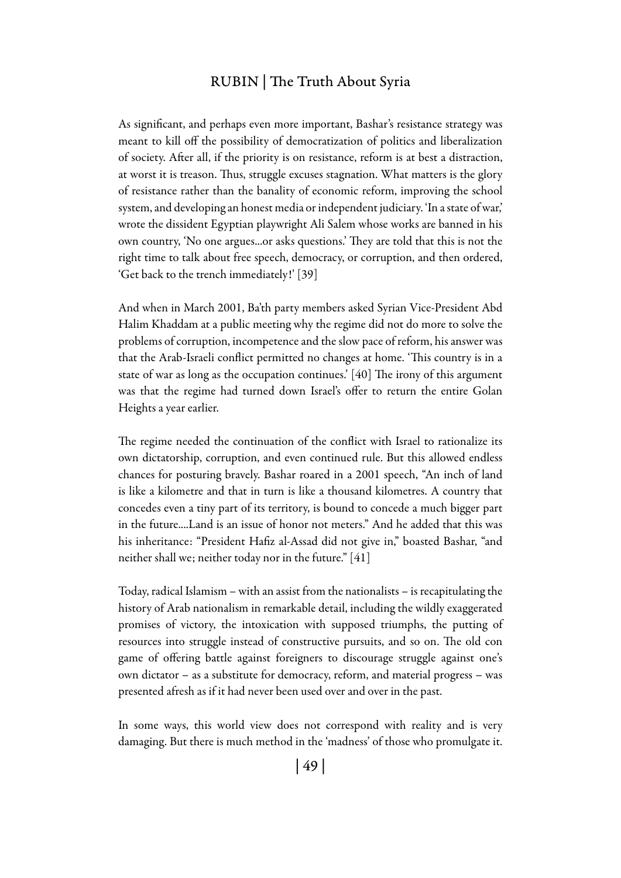As significant, and perhaps even more important, Bashar's resistance strategy was meant to kill off the possibility of democratization of politics and liberalization of society. After all, if the priority is on resistance, reform is at best a distraction, at worst it is treason. Thus, struggle excuses stagnation. What matters is the glory of resistance rather than the banality of economic reform, improving the school system, and developing an honest media or independent judiciary. 'In a state of war,' wrote the dissident Egyptian playwright Ali Salem whose works are banned in his own country, 'No one argues...or asks questions.' They are told that this is not the right time to talk about free speech, democracy, or corruption, and then ordered, 'Get back to the trench immediately!' [39]

And when in March 2001, Ba'th party members asked Syrian Vice-President Abd Halim Khaddam at a public meeting why the regime did not do more to solve the problems of corruption, incompetence and the slow pace of reform, his answer was that the Arab-Israeli conflict permitted no changes at home. 'This country is in a state of war as long as the occupation continues.' [40] The irony of this argument was that the regime had turned down Israel's offer to return the entire Golan Heights a year earlier.

The regime needed the continuation of the conflict with Israel to rationalize its own dictatorship, corruption, and even continued rule. But this allowed endless chances for posturing bravely. Bashar roared in a 2001 speech, "An inch of land is like a kilometre and that in turn is like a thousand kilometres. A country that concedes even a tiny part of its territory, is bound to concede a much bigger part in the future....Land is an issue of honor not meters." And he added that this was his inheritance: "President Hafiz al-Assad did not give in," boasted Bashar, "and neither shall we; neither today nor in the future." [41]

Today, radical Islamism – with an assist from the nationalists – is recapitulating the history of Arab nationalism in remarkable detail, including the wildly exaggerated promises of victory, the intoxication with supposed triumphs, the putting of resources into struggle instead of constructive pursuits, and so on. The old con game of offering battle against foreigners to discourage struggle against one's own dictator – as a substitute for democracy, reform, and material progress – was presented afresh as if it had never been used over and over in the past.

In some ways, this world view does not correspond with reality and is very damaging. But there is much method in the 'madness' of those who promulgate it.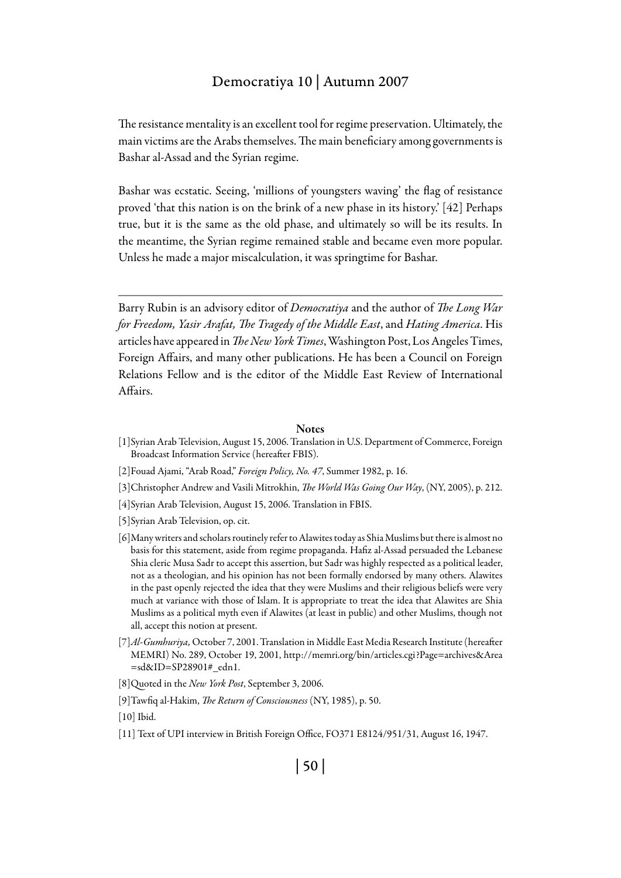The resistance mentality is an excellent tool for regime preservation. Ultimately, the main victims are the Arabs themselves. The main beneficiary among governments is Bashar al-Assad and the Syrian regime.

Bashar was ecstatic. Seeing, 'millions of youngsters waving' the flag of resistance proved 'that this nation is on the brink of a new phase in its history.' [42] Perhaps true, but it is the same as the old phase, and ultimately so will be its results. In the meantime, the Syrian regime remained stable and became even more popular. Unless he made a major miscalculation, it was springtime for Bashar.

Barry Rubin is an advisory editor of *Democratiya* and the author of *The Long War for Freedom, Yasir Arafat, The Tragedy of the Middle East*, and *Hating America*. His articles have appeared in *The New York Times*, Washington Post, Los Angeles Times, Foreign Affairs, and many other publications. He has been a Council on Foreign Relations Fellow and is the editor of the Middle East Review of International Affairs.

#### **Notes**

- [1]Syrian Arab Television, August 15, 2006. Translation in U.S. Department of Commerce, Foreign Broadcast Information Service (hereafter FBIS).
- [2]Fouad Ajami, "Arab Road," *Foreign Policy, No. 47*, Summer 1982, p. 16.
- [3]Christopher Andrew and Vasili Mitrokhin, *The World Was Going Our Way*, (NY, 2005), p. 212.
- [4]Syrian Arab Television, August 15, 2006. Translation in FBIS.
- [5]Syrian Arab Television, op. cit.
- [6]Many writers and scholars routinely refer to Alawites today as Shia Muslims but there is almost no basis for this statement, aside from regime propaganda. Hafiz al-Assad persuaded the Lebanese Shia cleric Musa Sadr to accept this assertion, but Sadr was highly respected as a political leader, not as a theologian, and his opinion has not been formally endorsed by many others. Alawites in the past openly rejected the idea that they were Muslims and their religious beliefs were very much at variance with those of Islam. It is appropriate to treat the idea that Alawites are Shia Muslims as a political myth even if Alawites (at least in public) and other Muslims, though not all, accept this notion at present.
- [7]*Al-Gumhuriya,* October 7, 2001. Translation in Middle East Media Research Institute (hereafter MEMRI) No. 289, October 19, 2001, http://memri.org/bin/articles.cgi?Page=archives&Area =sd&ID=SP28901#\_edn1.
- [8]Quoted in the *New York Post*, September 3, 2006.
- [9]Tawfiq al-Hakim, *The Return of Consciousness* (NY, 1985), p. 50.

[10] Ibid.

[11] Text of UPI interview in British Foreign Office, FO371 E8124/951/31, August 16, 1947.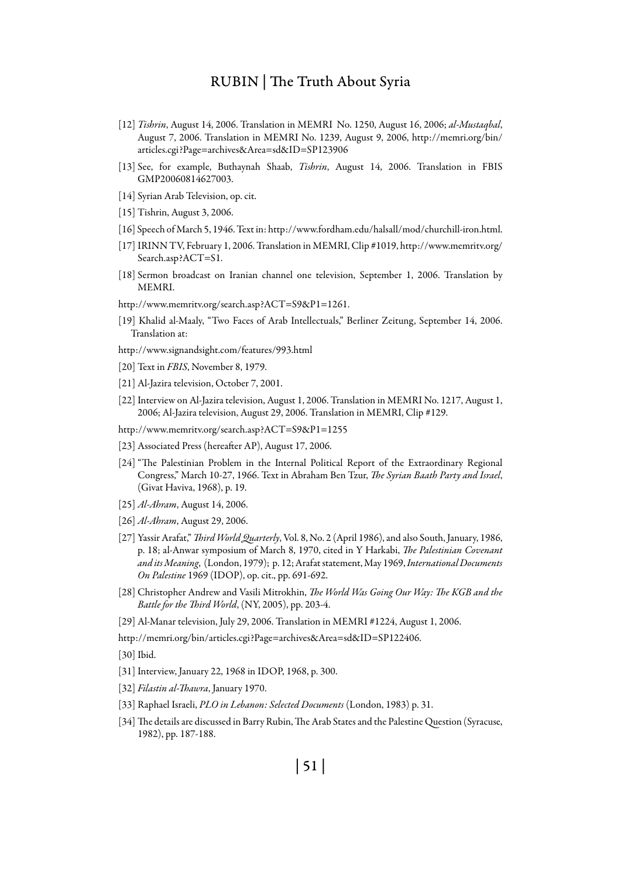- [12] *Tishrin*, August 14, 2006. Translation in MEMRI No. 1250, August 16, 2006; *al-Mustaqbal*, August 7, 2006. Translation in MEMRI No. 1239, August 9, 2006, http://memri.org/bin/ articles.cgi?Page=archives&Area=sd&ID=SP123906
- [13] See, for example, Buthaynah Shaab, *Tishrin*, August 14, 2006. Translation in FBIS GMP20060814627003.
- [14] Syrian Arab Television, op. cit.
- [15] Tishrin, August 3, 2006.
- [16] Speech of March 5, 1946. Text in: http://www.fordham.edu/halsall/mod/churchill-iron.html.
- [17] IRINN TV, February 1, 2006. Translation in MEMRI, Clip #1019, http://www.memritv.org/ Search.asp?ACT=S1.
- [18] Sermon broadcast on Iranian channel one television, September 1, 2006. Translation by MEMRI.
- http://www.memritv.org/search.asp?ACT=S9&P1=1261.
- [19] Khalid al-Maaly, "Two Faces of Arab Intellectuals," Berliner Zeitung, September 14, 2006. Translation at:
- http://www.signandsight.com/features/993.html
- [20] Text in *FBIS*, November 8, 1979.
- [21] Al-Jazira television, October 7, 2001.
- [22] Interview on Al-Jazira television, August 1, 2006. Translation in MEMRI No. 1217, August 1, 2006; Al-Jazira television, August 29, 2006. Translation in MEMRI, Clip #129.
- http://www.memritv.org/search.asp?ACT=S9&P1=1255
- [23] Associated Press (hereafter AP), August 17, 2006.
- [24] "The Palestinian Problem in the Internal Political Report of the Extraordinary Regional Congress," March 10-27, 1966. Text in Abraham Ben Tzur, *The Syrian Baath Party and Israel*, (Givat Haviva, 1968), p. 19.
- [25] *Al-Ahram*, August 14, 2006.
- [26] *Al-Ahram*, August 29, 2006.
- [27] Yassir Arafat," *Third World Quarterly*, Vol. 8, No. 2 (April 1986), and also South, January, 1986, p. 18; al-Anwar symposium of March 8, 1970, cited in Y Harkabi, *The Palestinian Covenant and its Meaning*, (London, 1979); p. 12; Arafat statement, May 1969, *International Documents On Palestine* 1969 (IDOP), op. cit., pp. 691-692.
- [28] Christopher Andrew and Vasili Mitrokhin, *The World Was Going Our Way: The KGB and the Battle for the Third World*, (NY, 2005), pp. 203-4.
- [29] Al-Manar television, July 29, 2006. Translation in MEMRI #1224, August 1, 2006.
- http://memri.org/bin/articles.cgi?Page=archives&Area=sd&ID=SP122406.
- [30] Ibid.
- [31] Interview, January 22, 1968 in IDOP, 1968, p. 300.
- [32] *Filastin al-Thawra*, January 1970.
- [33] Raphael Israeli, *PLO in Lebanon: Selected Documents* (London, 1983) p. 31.
- [34] The details are discussed in Barry Rubin, The Arab States and the Palestine Question (Syracuse, 1982), pp. 187-188.